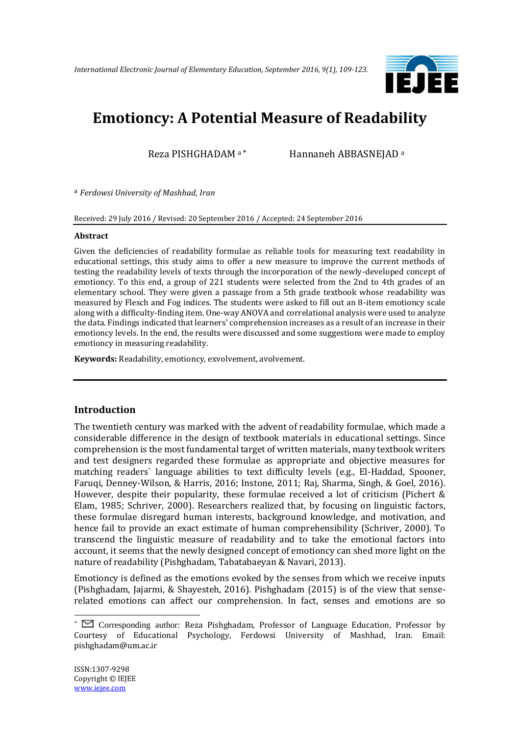

# **Emotioncy: A Potential Measure of Readability**

Reza PISHGHADAM <sup>a</sup> **\*** Hannaneh ABBASNEJAD <sup>a</sup>

a *Ferdowsi University of Mashhad, Iran*

Received: 29 July 2016 / Revised: 20 September 2016 / Accepted: 24 September 2016

#### **Abstract**

Given the deficiencies of readability formulae as reliable tools for measuring text readability in educational settings, this study aims to offer a new measure to improve the current methods of testing the readability levels of texts through the incorporation of the newly-developed concept of emotioncy. To this end, a group of 221 students were selected from the 2nd to 4th grades of an elementary school. They were given a passage from a 5th grade textbook whose readability was measured by Flesch and Fog indices. The students were asked to fill out an 8-item emotioncy scale along with a difficulty-finding item. One-way ANOVA and correlational analysis were used to analyze the data. Findings indicated that learners' comprehension increases as a result of an increase in their emotioncy levels. In the end, the results were discussed and some suggestions were made to employ emotioncy in measuring readability.

**Keywords:** Readability, emotioncy, exvolvement, avolvement.

## **Introduction**

The twentieth century was marked with the advent of readability formulae, which made a considerable difference in the design of textbook materials in educational settings. Since comprehension is the most fundamental target of written materials, many textbook writers and test designers regarded these formulae as appropriate and objective measures for matching readers` language abilities to text difficulty levels (e.g., El-Haddad, Spooner, Faruqi, Denney-Wilson, & Harris, 2016; Instone, 2011; Raj, Sharma, Singh, & Goel, 2016). However, despite their popularity, these formulae received a lot of criticism (Pichert & Elam, 1985; Schriver, 2000). Researchers realized that, by focusing on linguistic factors, these formulae disregard human interests, background knowledge, and motivation, and hence fail to provide an exact estimate of human comprehensibility (Schriver, 2000). To transcend the linguistic measure of readability and to take the emotional factors into account, it seems that the newly designed concept of emotioncy can shed more light on the nature of readability (Pishghadam, Tabatabaeyan & Navari, 2013).

Emotioncy is defined as the emotions evoked by the senses from which we receive inputs (Pishghadam, Jajarmi, & Shayesteh, 2016). Pishghadam (2015) is of the view that senserelated emotions can affect our comprehension. In fact, senses and emotions are so

1

<sup>\*</sup> Corresponding author: Reza Pishghadam, Professor of Language Education, Professor by Courtesy of Educational Psychology, Ferdowsi University of Mashhad, Iran. Email: pishghadam@um.ac.ir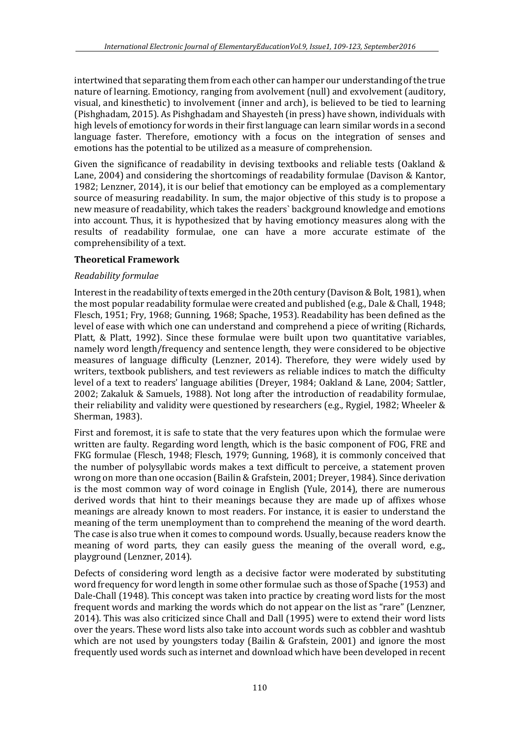intertwined that separating them from each other can hamper our understanding of the true nature of learning. Emotioncy, ranging from avolvement (null) and exvolvement (auditory, visual, and kinesthetic) to involvement (inner and arch), is believed to be tied to learning (Pishghadam, 2015). As Pishghadam and Shayesteh (in press) have shown, individuals with high levels of emotioncy for words in their first language can learn similar words in a second language faster. Therefore, emotioncy with a focus on the integration of senses and emotions has the potential to be utilized as a measure of comprehension.

Given the significance of readability in devising textbooks and reliable tests (Oakland & Lane, 2004) and considering the shortcomings of readability formulae (Davison & Kantor, 1982; Lenzner, 2014), it is our belief that emotioncy can be employed as a complementary source of measuring readability. In sum, the major objective of this study is to propose a new measure of readability, which takes the readers` background knowledge and emotions into account. Thus, it is hypothesized that by having emotioncy measures along with the results of readability formulae, one can have a more accurate estimate of the comprehensibility of a text.

## **Theoretical Framework**

#### *Readability formulae*

Interest in the readability of texts emerged in the 20th century (Davison & Bolt, 1981), when the most popular readability formulae were created and published (e.g., Dale & Chall, 1948; Flesch, 1951; Fry, 1968; Gunning, 1968; Spache, 1953). Readability has been defined as the level of ease with which one can understand and comprehend a piece of writing (Richards, Platt, & Platt, 1992). Since these formulae were built upon two quantitative variables, namely word length/frequency and sentence length, they were considered to be objective measures of language difficulty (Lenzner, 2014). Therefore, they were widely used by writers, textbook publishers, and test reviewers as reliable indices to match the difficulty level of a text to readers' language abilities (Dreyer, 1984; Oakland & Lane, 2004; Sattler, 2002; Zakaluk & Samuels, 1988). Not long after the introduction of readability formulae, their reliability and validity were questioned by researchers (e.g., Rygiel, 1982; Wheeler & Sherman, 1983).

First and foremost, it is safe to state that the very features upon which the formulae were written are faulty. Regarding word length, which is the basic component of FOG, FRE and FKG formulae (Flesch, 1948; Flesch, 1979; Gunning, 1968), it is commonly conceived that the number of polysyllabic words makes a text difficult to perceive, a statement proven wrong on more than one occasion (Bailin & Grafstein, 2001; Dreyer, 1984). Since derivation is the most common way of word coinage in English (Yule, 2014), there are numerous derived words that hint to their meanings because they are made up of affixes whose meanings are already known to most readers. For instance, it is easier to understand the meaning of the term unemployment than to comprehend the meaning of the word dearth. The case is also true when it comes to compound words. Usually, because readers know the meaning of word parts, they can easily guess the meaning of the overall word, e.g., playground (Lenzner, 2014).

Defects of considering word length as a decisive factor were moderated by substituting word frequency for word length in some other formulae such as those of Spache (1953) and Dale-Chall (1948). This concept was taken into practice by creating word lists for the most frequent words and marking the words which do not appear on the list as "rare" (Lenzner, 2014). This was also criticized since Chall and Dall (1995) were to extend their word lists over the years. These word lists also take into account words such as cobbler and washtub which are not used by youngsters today (Bailin & Grafstein, 2001) and ignore the most frequently used words such as internet and download which have been developed in recent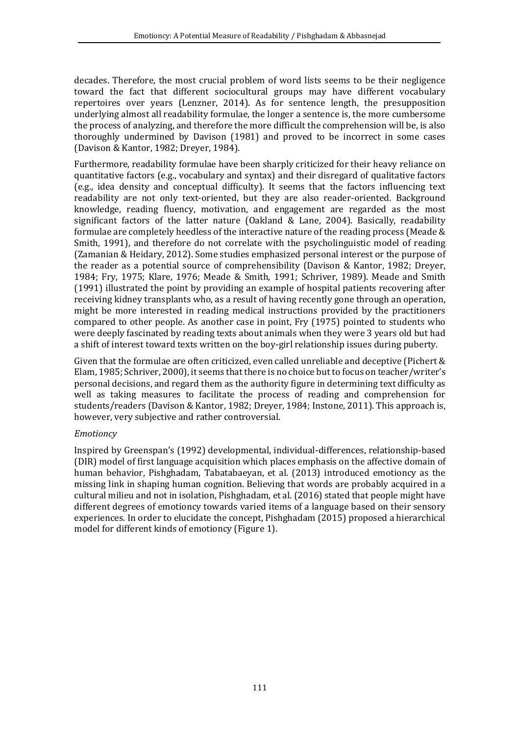decades. Therefore, the most crucial problem of word lists seems to be their negligence toward the fact that different sociocultural groups may have different vocabulary repertoires over years (Lenzner, 2014). As for sentence length, the presupposition underlying almost all readability formulae, the longer a sentence is, the more cumbersome the process of analyzing, and therefore the more difficult the comprehension will be, is also thoroughly undermined by Davison (1981) and proved to be incorrect in some cases (Davison & Kantor, 1982; Dreyer, 1984).

Furthermore, readability formulae have been sharply criticized for their heavy reliance on quantitative factors (e.g., vocabulary and syntax) and their disregard of qualitative factors (e.g., idea density and conceptual difficulty). It seems that the factors influencing text readability are not only text-oriented, but they are also reader-oriented. Background knowledge, reading fluency, motivation, and engagement are regarded as the most significant factors of the latter nature (Oakland & Lane, 2004). Basically, readability formulae are completely heedless of the interactive nature of the reading process (Meade & Smith, 1991), and therefore do not correlate with the psycholinguistic model of reading (Zamanian & Heidary, 2012). Some studies emphasized personal interest or the purpose of the reader as a potential source of comprehensibility (Davison & Kantor, 1982; Dreyer, 1984; Fry, 1975; Klare, 1976; Meade & Smith, 1991; Schriver, 1989). Meade and Smith (1991) illustrated the point by providing an example of hospital patients recovering after receiving kidney transplants who, as a result of having recently gone through an operation, might be more interested in reading medical instructions provided by the practitioners compared to other people. As another case in point, Fry (1975) pointed to students who were deeply fascinated by reading texts about animals when they were 3 years old but had a shift of interest toward texts written on the boy-girl relationship issues during puberty.

Given that the formulae are often criticized, even called unreliable and deceptive (Pichert & Elam, 1985; Schriver, 2000), it seems that there is no choice but to focus on teacher/writer's personal decisions, and regard them as the authority figure in determining text difficulty as well as taking measures to facilitate the process of reading and comprehension for students/readers (Davison & Kantor, 1982; Dreyer, 1984; Instone, 2011). This approach is, however, very subjective and rather controversial.

## *Emotioncy*

Inspired by Greenspan's (1992) developmental, individual-differences, relationship-based (DIR) model of first language acquisition which places emphasis on the affective domain of human behavior, Pishghadam, Tabatabaeyan, et al. (2013) introduced emotioncy as the missing link in shaping human cognition. Believing that words are probably acquired in a cultural milieu and not in isolation, Pishghadam, et al. (2016) stated that people might have different degrees of emotioncy towards varied items of a language based on their sensory experiences. In order to elucidate the concept, Pishghadam (2015) proposed a hierarchical model for different kinds of emotioncy (Figure 1).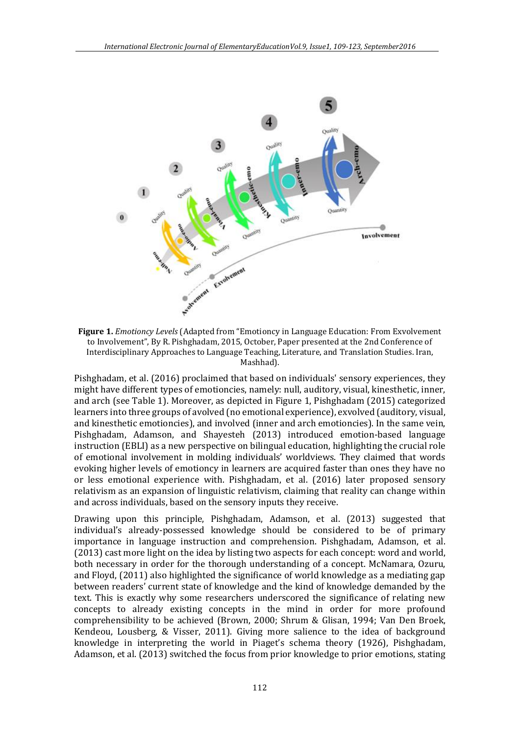

**Figure 1.** *Emotioncy Levels* (Adapted from "Emotioncy in Language Education: From Exvolvement to Involvement", By R. Pishghadam, 2015, October, Paper presented at the 2nd Conference of Interdisciplinary Approaches to Language Teaching, Literature, and Translation Studies. Iran, Mashhad).

Pishghadam, et al. (2016) proclaimed that based on individuals' sensory experiences, they might have different types of emotioncies, namely: null, auditory, visual, kinesthetic, inner, and arch (see Table 1). Moreover, as depicted in Figure 1, Pishghadam (2015) categorized learners into three groups of avolved (no emotional experience), exvolved (auditory, visual, and kinesthetic emotioncies), and involved (inner and arch emotioncies). In the same vein, Pishghadam, Adamson, and Shayesteh (2013) introduced emotion-based language instruction (EBLI) as a new perspective on bilingual education, highlighting the crucial role of emotional involvement in molding individuals' worldviews. They claimed that words evoking higher levels of emotioncy in learners are acquired faster than ones they have no or less emotional experience with. Pishghadam, et al. (2016) later proposed sensory relativism as an expansion of linguistic relativism, claiming that reality can change within and across individuals, based on the sensory inputs they receive.

Drawing upon this principle, Pishghadam, Adamson, et al. (2013) suggested that individual's already-possessed knowledge should be considered to be of primary importance in language instruction and comprehension. Pishghadam, Adamson, et al. (2013) cast more light on the idea by listing two aspects for each concept: word and world, both necessary in order for the thorough understanding of a concept. McNamara, Ozuru, and Floyd, (2011) also highlighted the significance of world knowledge as a mediating gap between readers' current state of knowledge and the kind of knowledge demanded by the text. This is exactly why some researchers underscored the significance of relating new concepts to already existing concepts in the mind in order for more profound comprehensibility to be achieved (Brown, 2000; Shrum & Glisan, 1994; Van Den Broek, Kendeou, Lousberg, & Visser, 2011). Giving more salience to the idea of background knowledge in interpreting the world in Piaget's schema theory (1926), Pishghadam, Adamson, et al. (2013) switched the focus from prior knowledge to prior emotions, stating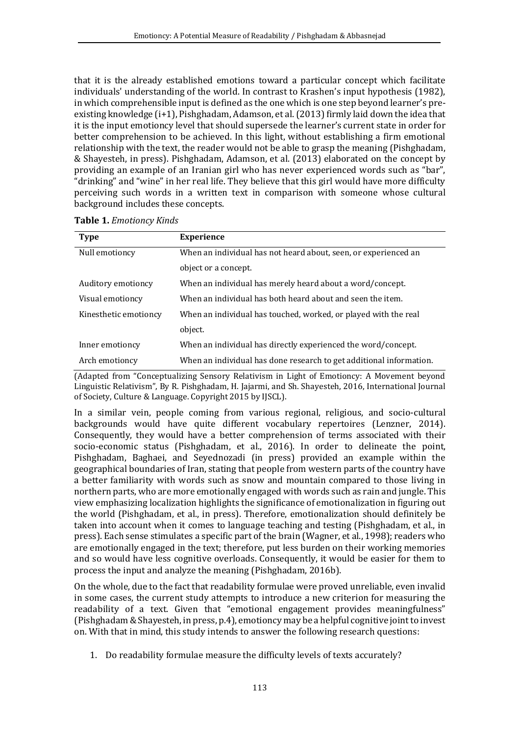that it is the already established emotions toward a particular concept which facilitate individuals' understanding of the world. In contrast to Krashen's input hypothesis (1982), in which comprehensible input is defined as the one which is one step beyond learner's preexisting knowledge (i+1), Pishghadam, Adamson, et al. (2013) firmly laid down the idea that it is the input emotioncy level that should supersede the learner's current state in order for better comprehension to be achieved. In this light, without establishing a firm emotional relationship with the text, the reader would not be able to grasp the meaning (Pishghadam, & Shayesteh, in press). Pishghadam, Adamson, et al. (2013) elaborated on the concept by providing an example of an Iranian girl who has never experienced words such as "bar", "drinking" and "wine" in her real life. They believe that this girl would have more difficulty perceiving such words in a written text in comparison with someone whose cultural background includes these concepts.

| <b>Type</b>           | <b>Experience</b>                                                   |
|-----------------------|---------------------------------------------------------------------|
| Null emotioncy        | When an individual has not heard about, seen, or experienced an     |
|                       | object or a concept.                                                |
| Auditory emotioncy    | When an individual has merely heard about a word/concept.           |
| Visual emotioncy      | When an individual has both heard about and seen the item.          |
| Kinesthetic emotioncy | When an individual has touched, worked, or played with the real     |
|                       | object.                                                             |
| Inner emotioncy       | When an individual has directly experienced the word/concept.       |
| Arch emotioncy        | When an individual has done research to get additional information. |

|  |  | Table 1. Emotioncy Kinds |  |
|--|--|--------------------------|--|
|--|--|--------------------------|--|

(Adapted from "Conceptualizing Sensory Relativism in Light of Emotioncy: A Movement beyond Linguistic Relativism", By R. Pishghadam, H. Jajarmi, and Sh. Shayesteh, 2016, International Journal of Society, Culture & Language. Copyright 2015 by IJSCL).

In a similar vein, people coming from various regional, religious, and socio-cultural backgrounds would have quite different vocabulary repertoires (Lenzner, 2014). Consequently, they would have a better comprehension of terms associated with their socio-economic status (Pishghadam, et al., 2016). In order to delineate the point, Pishghadam, Baghaei, and Seyednozadi (in press) provided an example within the geographical boundaries of Iran, stating that people from western parts of the country have a better familiarity with words such as snow and mountain compared to those living in northern parts, who are more emotionally engaged with words such as rain and jungle. This view emphasizing localization highlights the significance of emotionalization in figuring out the world (Pishghadam, et al., in press). Therefore, emotionalization should definitely be taken into account when it comes to language teaching and testing (Pishghadam, et al., in press). Each sense stimulates a specific part of the brain (Wagner, et al., 1998); readers who are emotionally engaged in the text; therefore, put less burden on their working memories and so would have less cognitive overloads. Consequently, it would be easier for them to process the input and analyze the meaning (Pishghadam, 2016b).

On the whole, due to the fact that readability formulae were proved unreliable, even invalid in some cases, the current study attempts to introduce a new criterion for measuring the readability of a text. Given that "emotional engagement provides meaningfulness" (Pishghadam & Shayesteh, in press, p.4), emotioncy may be a helpful cognitive joint to invest on. With that in mind, this study intends to answer the following research questions:

1. Do readability formulae measure the difficulty levels of texts accurately?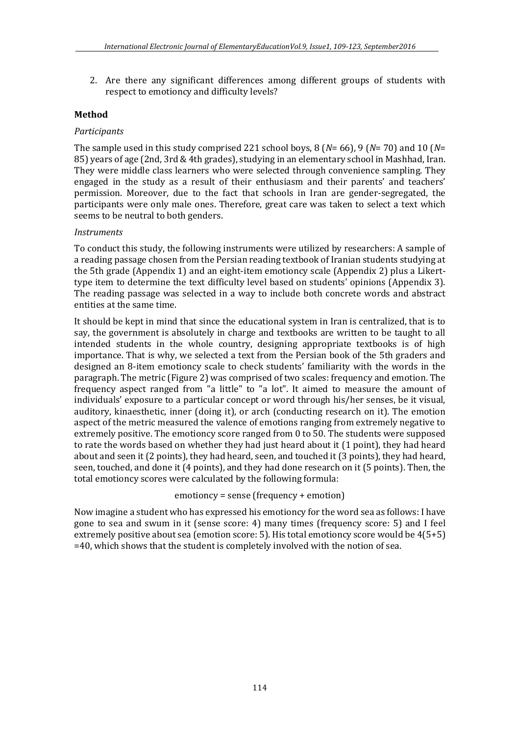2. Are there any significant differences among different groups of students with respect to emotioncy and difficulty levels?

## **Method**

#### *Participants*

The sample used in this study comprised 221 school boys, 8 (*N*= 66), 9 (*N*= 70) and 10 (*N*= 85) years of age (2nd, 3rd & 4th grades), studying in an elementary school in Mashhad, Iran. They were middle class learners who were selected through convenience sampling. They engaged in the study as a result of their enthusiasm and their parents' and teachers' permission. Moreover, due to the fact that schools in Iran are gender-segregated, the participants were only male ones. Therefore, great care was taken to select a text which seems to be neutral to both genders.

#### *Instruments*

To conduct this study, the following instruments were utilized by researchers: A sample of a reading passage chosen from the Persian reading textbook of Iranian students studying at the 5th grade (Appendix 1) and an eight-item emotioncy scale (Appendix 2) plus a Likerttype item to determine the text difficulty level based on students' opinions (Appendix 3). The reading passage was selected in a way to include both concrete words and abstract entities at the same time.

It should be kept in mind that since the educational system in Iran is centralized, that is to say, the government is absolutely in charge and textbooks are written to be taught to all intended students in the whole country, designing appropriate textbooks is of high importance. That is why, we selected a text from the Persian book of the 5th graders and designed an 8-item emotioncy scale to check students' familiarity with the words in the paragraph. The metric (Figure 2) was comprised of two scales: frequency and emotion. The frequency aspect ranged from "a little" to "a lot". It aimed to measure the amount of individuals' exposure to a particular concept or word through his/her senses, be it visual, auditory, kinaesthetic, inner (doing it), or arch (conducting research on it). The emotion aspect of the metric measured the valence of emotions ranging from extremely negative to extremely positive. The emotioncy score ranged from 0 to 50. The students were supposed to rate the words based on whether they had just heard about it (1 point), they had heard about and seen it (2 points), they had heard, seen, and touched it (3 points), they had heard, seen, touched, and done it (4 points), and they had done research on it (5 points). Then, the total emotioncy scores were calculated by the following formula:

#### emotioncy = sense (frequency + emotion)

Now imagine a student who has expressed his emotioncy for the word sea as follows: I have gone to sea and swum in it (sense score: 4) many times (frequency score: 5) and I feel extremely positive about sea (emotion score: 5). His total emotioncy score would be 4(5+5) =40, which shows that the student is completely involved with the notion of sea.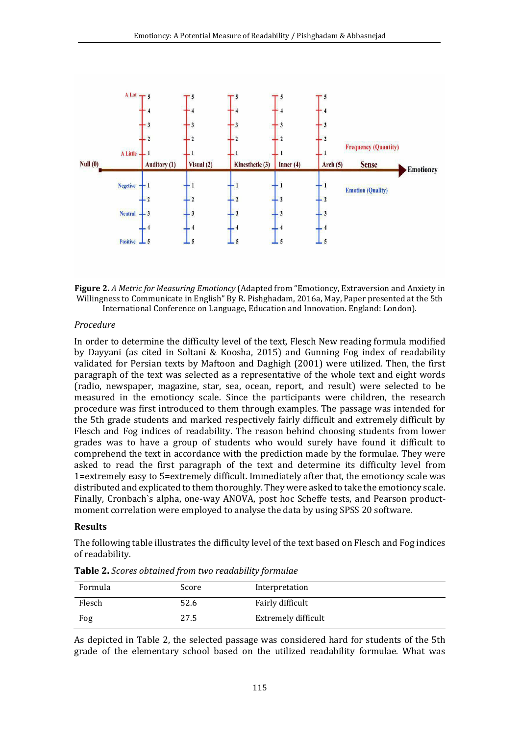



#### *Procedure*

In order to determine the difficulty level of the text, Flesch New reading formula modified by Dayyani (as cited in Soltani & Koosha, 2015) and Gunning Fog index of readability validated for Persian texts by Maftoon and Daghigh (2001) were utilized. Then, the first paragraph of the text was selected as a representative of the whole text and eight words (radio, newspaper, magazine, star, sea, ocean, report, and result) were selected to be measured in the emotioncy scale. Since the participants were children, the research procedure was first introduced to them through examples. The passage was intended for the 5th grade students and marked respectively fairly difficult and extremely difficult by Flesch and Fog indices of readability. The reason behind choosing students from lower grades was to have a group of students who would surely have found it difficult to comprehend the text in accordance with the prediction made by the formulae. They were asked to read the first paragraph of the text and determine its difficulty level from 1=extremely easy to 5=extremely difficult. Immediately after that, the emotioncy scale was distributed and explicated to them thoroughly. They were asked to take the emotioncy scale. Finally, Cronbach`s alpha, one-way ANOVA, post hoc Scheffe tests, and Pearson productmoment correlation were employed to analyse the data by using SPSS 20 software.

#### **Results**

The following table illustrates the difficulty level of the text based on Flesch and Fog indices of readability.

| Formula | Score | Interpretation      |
|---------|-------|---------------------|
| Flesch  | 52.6  | Fairly difficult    |
| Fog     | 27.5  | Extremely difficult |

**Table 2.** *Scores obtained from two readability formulae*

As depicted in Table 2, the selected passage was considered hard for students of the 5th grade of the elementary school based on the utilized readability formulae. What was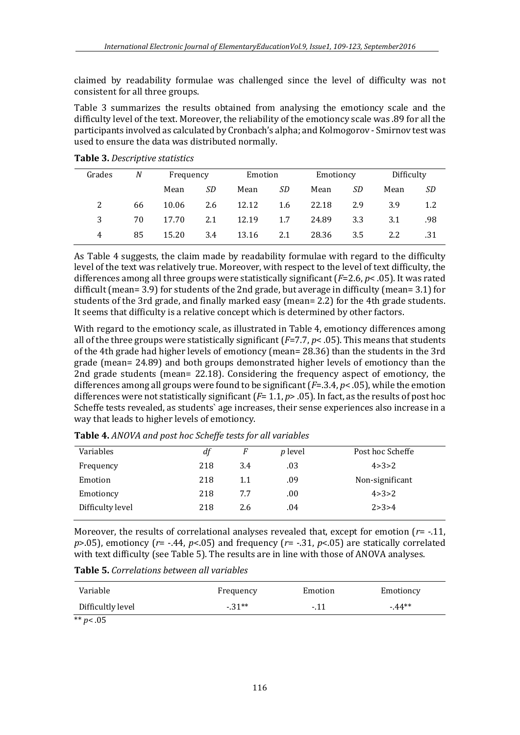claimed by readability formulae was challenged since the level of difficulty was not consistent for all three groups.

Table 3 summarizes the results obtained from analysing the emotioncy scale and the difficulty level of the text. Moreover, the reliability of the emotioncy scale was .89 for all the participants involved as calculated by Cronbach's alpha; and Kolmogorov - Smirnov test was used to ensure the data was distributed normally.

| Grades | N  | Frequency |     | Emotion |     | Emotioncy |     | Difficulty |     |
|--------|----|-----------|-----|---------|-----|-----------|-----|------------|-----|
|        |    | Mean      | SD  | Mean    | SD  | Mean      | SD  | Mean       | SD. |
| 2      | 66 | 10.06     | 2.6 | 12.12   | 1.6 | 22.18     | 2.9 | 3.9        | 1.2 |
| 3      | 70 | 17.70     | 2.1 | 12.19   | 1.7 | 24.89     | 3.3 | 3.1        | .98 |
| 4      | 85 | 15.20     | 3.4 | 13.16   | 2.1 | 28.36     | 3.5 | 2.2        | .31 |

**Table 3.** *Descriptive statistics*

As Table 4 suggests, the claim made by readability formulae with regard to the difficulty level of the text was relatively true. Moreover, with respect to the level of text difficulty, the differences among all three groups were statistically significant (*F*=2.6, *p*< .05). It was rated difficult (mean= 3.9) for students of the 2nd grade, but average in difficulty (mean= 3.1) for students of the 3rd grade, and finally marked easy (mean= 2.2) for the 4th grade students. It seems that difficulty is a relative concept which is determined by other factors.

With regard to the emotioncy scale, as illustrated in Table 4, emotioncy differences among all of the three groups were statistically significant (*F*=7.7, *p*< .05). This means that students of the 4th grade had higher levels of emotioncy (mean= 28.36) than the students in the 3rd grade (mean= 24.89) and both groups demonstrated higher levels of emotioncy than the 2nd grade students (mean= 22.18). Considering the frequency aspect of emotioncy, the differences among all groups were found to be significant (*F*=.3.4, *p*< .05), while the emotion differences were not statistically significant (*F*= 1.1, *p*> .05). In fact, as the results of post hoc Scheffe tests revealed, as students` age increases, their sense experiences also increase in a way that leads to higher levels of emotioncy.

| Variables        | df  | F   | <i>p</i> level | Post hoc Scheffe |
|------------------|-----|-----|----------------|------------------|
| Frequency        | 218 | 3.4 | .03            | 4 > 3 > 2        |
| Emotion          | 218 | 1.1 | .09            | Non-significant  |
| Emotioncy        | 218 | 7.7 | .00            | 4 > 3 > 2        |
| Difficulty level | 218 | 2.6 | .04            | 2 > 3 > 4        |

**Table 4.** *ANOVA and post hoc Scheffe tests for all variables*

Moreover, the results of correlational analyses revealed that, except for emotion ( $r = -11$ , *p*>.05), emotioncy ( $r$ = -.44,  $p$ <.05) and frequency ( $r$ = -.31,  $p$ <.05) are statically correlated with text difficulty (see Table 5). The results are in line with those of ANOVA analyses.

**Table 5.** *Correlations between all variables*

| Variable          | Frequency | Emotion | Emotioncy |
|-------------------|-----------|---------|-----------|
| Difficultly level | $-31**$   | $-11$   | $-44**$   |
| ີ່ ນາ             |           |         |           |

\*\* *p*< .05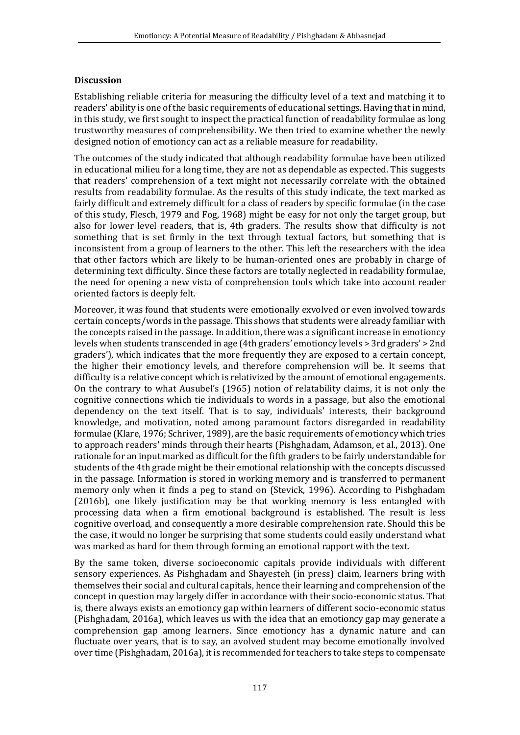## **Discussion**

Establishing reliable criteria for measuring the difficulty level of a text and matching it to readers' ability is one of the basic requirements of educational settings. Having that in mind, in this study, we first sought to inspect the practical function of readability formulae as long trustworthy measures of comprehensibility. We then tried to examine whether the newly designed notion of emotioncy can act as a reliable measure for readability.

The outcomes of the study indicated that although readability formulae have been utilized in educational milieu for a long time, they are not as dependable as expected. This suggests that readers' comprehension of a text might not necessarily correlate with the obtained results from readability formulae. As the results of this study indicate, the text marked as fairly difficult and extremely difficult for a class of readers by specific formulae (in the case of this study, Flesch, 1979 and Fog, 1968) might be easy for not only the target group, but also for lower level readers, that is, 4th graders. The results show that difficulty is not something that is set firmly in the text through textual factors, but something that is inconsistent from a group of learners to the other. This left the researchers with the idea that other factors which are likely to be human-oriented ones are probably in charge of determining text difficulty. Since these factors are totally neglected in readability formulae, the need for opening a new vista of comprehension tools which take into account reader oriented factors is deeply felt.

Moreover, it was found that students were emotionally exvolved or even involved towards certain concepts/words in the passage. This shows that students were already familiar with the concepts raised in the passage. In addition, there was a significant increase in emotioncy levels when students transcended in age (4th graders' emotioncy levels > 3rd graders' > 2nd graders'), which indicates that the more frequently they are exposed to a certain concept, the higher their emotioncy levels, and therefore comprehension will be. It seems that difficulty is a relative concept which is relativized by the amount of emotional engagements. On the contrary to what Ausubel's (1965) notion of relatability claims, it is not only the cognitive connections which tie individuals to words in a passage, but also the emotional dependency on the text itself. That is to say, individuals' interests, their background knowledge, and motivation, noted among paramount factors disregarded in readability formulae (Klare, 1976; Schriver, 1989), are the basic requirements of emotioncy which tries to approach readers' minds through their hearts (Pishghadam, Adamson, et al., 2013). One rationale for an input marked as difficult for the fifth graders to be fairly understandable for students of the 4th grade might be their emotional relationship with the concepts discussed in the passage. Information is stored in working memory and is transferred to permanent memory only when it finds a peg to stand on (Stevick, 1996). According to Pishghadam (2016b), one likely justification may be that working memory is less entangled with processing data when a firm emotional background is established. The result is less cognitive overload, and consequently a more desirable comprehension rate. Should this be the case, it would no longer be surprising that some students could easily understand what was marked as hard for them through forming an emotional rapport with the text.

By the same token, diverse socioeconomic capitals provide individuals with different sensory experiences. As Pishghadam and Shayesteh (in press) claim, learners bring with themselves their social and cultural capitals, hence their learning and comprehension of the concept in question may largely differ in accordance with their socio-economic status. That is, there always exists an emotioncy gap within learners of different socio-economic status (Pishghadam, 2016a), which leaves us with the idea that an emotioncy gap may generate a comprehension gap among learners. Since emotioncy has a dynamic nature and can fluctuate over years, that is to say, an avolved student may become emotionally involved over time (Pishghadam, 2016a), it is recommended for teachers to take steps to compensate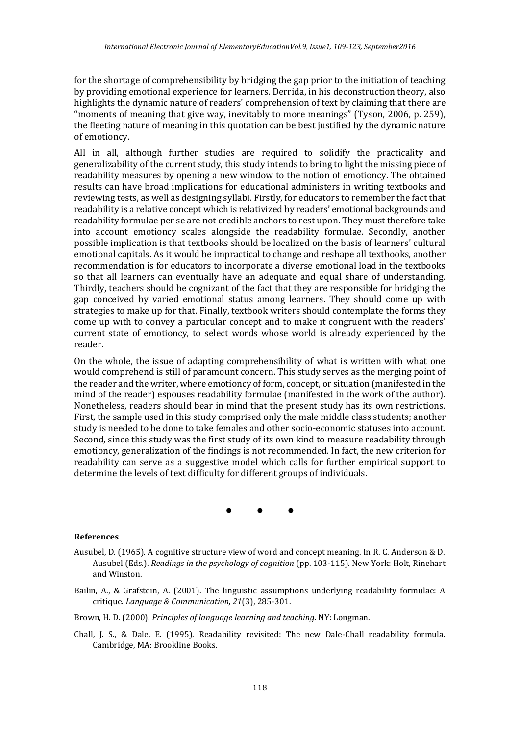for the shortage of comprehensibility by bridging the gap prior to the initiation of teaching by providing emotional experience for learners. Derrida, in his deconstruction theory, also highlights the dynamic nature of readers' comprehension of text by claiming that there are "moments of meaning that give way, inevitably to more meanings" (Tyson, 2006, p. 259), the fleeting nature of meaning in this quotation can be best justified by the dynamic nature of emotioncy.

All in all, although further studies are required to solidify the practicality and generalizability of the current study, this study intends to bring to light the missing piece of readability measures by opening a new window to the notion of emotioncy. The obtained results can have broad implications for educational administers in writing textbooks and reviewing tests, as well as designing syllabi. Firstly, for educators to remember the fact that readability is a relative concept which is relativized by readers' emotional backgrounds and readability formulae per se are not credible anchors to rest upon. They must therefore take into account emotioncy scales alongside the readability formulae. Secondly, another possible implication is that textbooks should be localized on the basis of learners' cultural emotional capitals. As it would be impractical to change and reshape all textbooks, another recommendation is for educators to incorporate a diverse emotional load in the textbooks so that all learners can eventually have an adequate and equal share of understanding. Thirdly, teachers should be cognizant of the fact that they are responsible for bridging the gap conceived by varied emotional status among learners. They should come up with strategies to make up for that. Finally, textbook writers should contemplate the forms they come up with to convey a particular concept and to make it congruent with the readers' current state of emotioncy, to select words whose world is already experienced by the reader.

On the whole, the issue of adapting comprehensibility of what is written with what one would comprehend is still of paramount concern. This study serves as the merging point of the reader and the writer, where emotioncy of form, concept, or situation (manifested in the mind of the reader) espouses readability formulae (manifested in the work of the author). Nonetheless, readers should bear in mind that the present study has its own restrictions. First, the sample used in this study comprised only the male middle class students; another study is needed to be done to take females and other socio-economic statuses into account. Second, since this study was the first study of its own kind to measure readability through emotioncy, generalization of the findings is not recommended. In fact, the new criterion for readability can serve as a suggestive model which calls for further empirical support to determine the levels of text difficulty for different groups of individuals.

• • •

#### **References**

- Ausubel, D. (1965). A cognitive structure view of word and concept meaning. In R. C. Anderson & D. Ausubel (Eds.). *Readings in the psychology of cognition* (pp. 103-115). New York: Holt, Rinehart and Winston.
- Bailin, A., & Grafstein, A. (2001). The linguistic assumptions underlying readability formulae: A critique. *Language & Communication, 21*(3), 285-301.
- Brown, H. D. (2000). *Principles of language learning and teaching*. NY: Longman.
- Chall, J. S., & Dale, E. (1995). Readability revisited: The new Dale-Chall readability formula. Cambridge, MA: Brookline Books.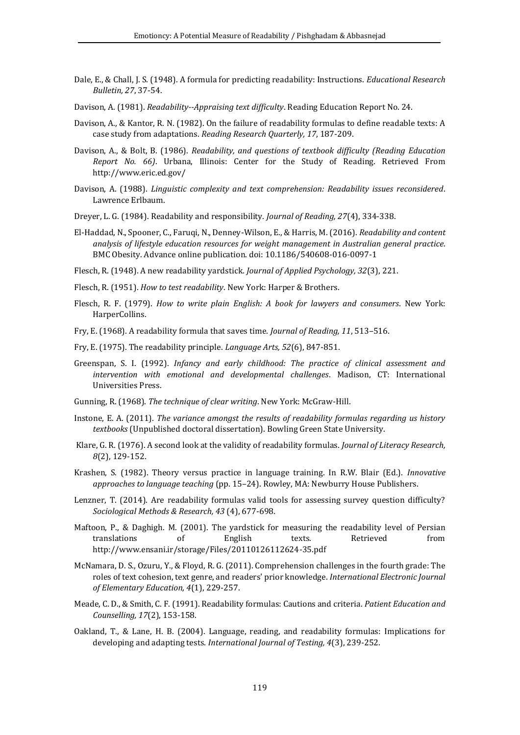- Dale, E., & Chall, J. S. (1948). A formula for predicting readability: Instructions. *Educational Research Bulletin, 27*, 37-54.
- Davison, A. (1981). *Readability--Appraising text difficulty*. Reading Education Report No. 24.
- Davison, A., & Kantor, R. N. (1982). On the failure of readability formulas to define readable texts: A case study from adaptations. *Reading Research Quarterly, 17*, 187-209.
- Davison, A., & Bolt, B. (1986). *Readability, and questions of textbook difficulty (Reading Education Report No. 66)*. Urbana, Illinois: Center for the Study of Reading. Retrieved From http://www.eric.ed.gov/
- Davison, A. (1988). *Linguistic complexity and text comprehension: Readability issues reconsidered*. Lawrence Erlbaum.
- Dreyer, L. G. (1984). Readability and responsibility. *Journal of Reading, 27*(4), 334-338.
- El-Haddad, N., Spooner, C., Faruqi, N., Denney-Wilson, E., & Harris, M. (2016). *Readability and content analysis of lifestyle education resources for weight management in Australian general practice*. BMC Obesity. Advance online publication. doi: 10.1186/540608-016-0097-1

Flesch, R. (1948). A new readability yardstick. *Journal of Applied Psychology, 32*(3), 221.

- Flesch, R. (1951). *How to test readability*. New York: Harper & Brothers.
- Flesch, R. F. (1979). *How to write plain English: A book for lawyers and consumers*. New York: HarperCollins.
- Fry, E. (1968). A readability formula that saves time. *Journal of Reading, 11*, 513–516.
- Fry, E. (1975). The readability principle. *Language Arts, 52*(6), 847-851.
- Greenspan, S. I. (1992). *Infancy and early childhood: The practice of clinical assessment and intervention with emotional and developmental challenges*. Madison, CT: International Universities Press.
- Gunning, R. (1968). *The technique of clear writing*. New York: McGraw-Hill.
- Instone, E. A. (2011). *The variance amongst the results of readability formulas regarding us history textbooks* (Unpublished doctoral dissertation). Bowling Green State University.
- Klare, G. R. (1976). A second look at the validity of readability formulas. *Journal of Literacy Research, 8*(2), 129-152.
- Krashen, S. (1982). Theory versus practice in language training. In R.W. Blair (Ed.). *Innovative approaches to language teaching* (pp. 15–24). Rowley, MA: Newburry House Publishers.
- Lenzner, T. (2014). Are readability formulas valid tools for assessing survey question difficulty? *Sociological Methods & Research, 43* (4), 677-698.
- Maftoon, P., & Daghigh. M. (2001). The yardstick for measuring the readability level of Persian translations of English texts. Retrieved from http://www.ensani.ir/storage/Files/20110126112624-35.pdf
- McNamara, D. S., Ozuru, Y., & Floyd, R. G. (2011). Comprehension challenges in the fourth grade: The roles of text cohesion, text genre, and readers' prior knowledge. *International Electronic Journal of Elementary Education, 4*(1), 229-257.
- Meade, C. D., & Smith, C. F. (1991). Readability formulas: Cautions and criteria. *Patient Education and Counselling, 17*(2), 153-158.
- Oakland, T., & Lane, H. B. (2004). Language, reading, and readability formulas: Implications for developing and adapting tests. *International Journal of Testing, 4*(3), 239-252.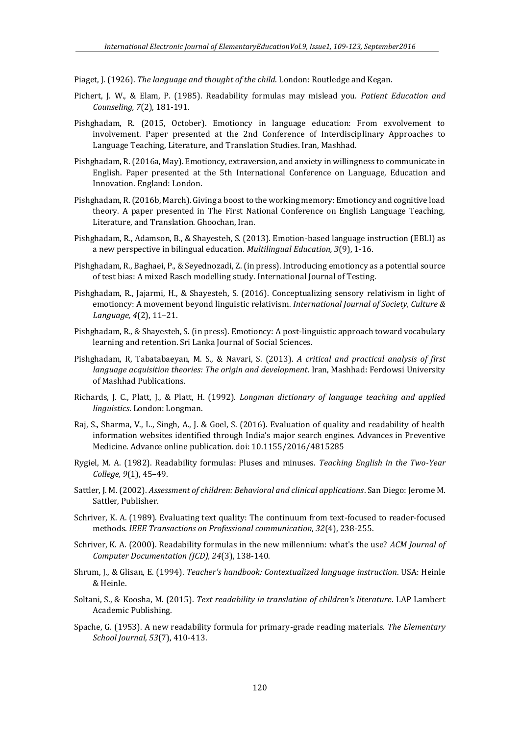Piaget, J. (1926). *The language and thought of the child*. London: Routledge and Kegan.

- Pichert, J. W., & Elam, P. (1985). Readability formulas may mislead you. *Patient Education and Counseling, 7*(2), 181-191.
- Pishghadam, R. (2015, October). Emotioncy in language education: From exvolvement to involvement. Paper presented at the 2nd Conference of Interdisciplinary Approaches to Language Teaching, Literature, and Translation Studies. Iran, Mashhad.
- Pishghadam, R. (2016a, May). Emotioncy, extraversion, and anxiety in willingness to communicate in English. Paper presented at the 5th International Conference on Language, Education and Innovation. England: London.
- Pishghadam, R. (2016b, March). Giving a boost to the working memory: Emotioncy and cognitive load theory. A paper presented in The First National Conference on English Language Teaching, Literature, and Translation. Ghoochan, Iran.
- Pishghadam, R., Adamson, B., & Shayesteh, S. (2013). Emotion-based language instruction (EBLI) as a new perspective in bilingual education. *Multilingual Education, 3*(9), 1-16.
- Pishghadam, R., Baghaei, P., & Seyednozadi, Z. (in press). Introducing emotioncy as a potential source of test bias: A mixed Rasch modelling study. International Journal of Testing.
- Pishghadam, R., Jajarmi, H., & Shayesteh, S. (2016). Conceptualizing sensory relativism in light of emotioncy: A movement beyond linguistic relativism. *International Journal of Society, Culture & Language, 4*(2), 11–21.
- Pishghadam, R., & Shayesteh, S. (in press). Emotioncy: A post-linguistic approach toward vocabulary learning and retention. Sri Lanka Journal of Social Sciences.
- Pishghadam, R, Tabatabaeyan, M. S., & Navari, S. (2013). *A critical and practical analysis of first language acquisition theories: The origin and development*. Iran, Mashhad: Ferdowsi University of Mashhad Publications.
- Richards, J. C., Platt, J., & Platt, H. (1992). *Longman dictionary of language teaching and applied linguistics*. London: Longman.
- Raj, S., Sharma, V., L., Singh, A., J. & Goel, S. (2016). Evaluation of quality and readability of health information websites identified through India's major search engines. Advances in Preventive Medicine. Advance online publication. doi: 10.1155/2016/4815285
- Rygiel, M. A. (1982). Readability formulas: Pluses and minuses. *Teaching English in the Two-Year College, 9*(1), 45–49.
- Sattler, J. M. (2002). *Assessment of children: Behavioral and clinical applications*. San Diego: Jerome M. Sattler, Publisher.
- Schriver, K. A. (1989). Evaluating text quality: The continuum from text-focused to reader-focused methods. *IEEE Transactions on Professional communication, 32*(4), 238-255.
- Schriver, K. A. (2000). Readability formulas in the new millennium: what's the use? *ACM Journal of Computer Documentation (JCD), 24*(3), 138-140.
- Shrum, J., & Glisan, E. (1994). *Teacher's handbook: Contextualized language instruction*. USA: Heinle & Heinle.
- Soltani, S., & Koosha, M. (2015). *Text readability in translation of children's literature*. LAP Lambert Academic Publishing.
- Spache, G. (1953). A new readability formula for primary-grade reading materials. *The Elementary School Journal, 53*(7), 410-413.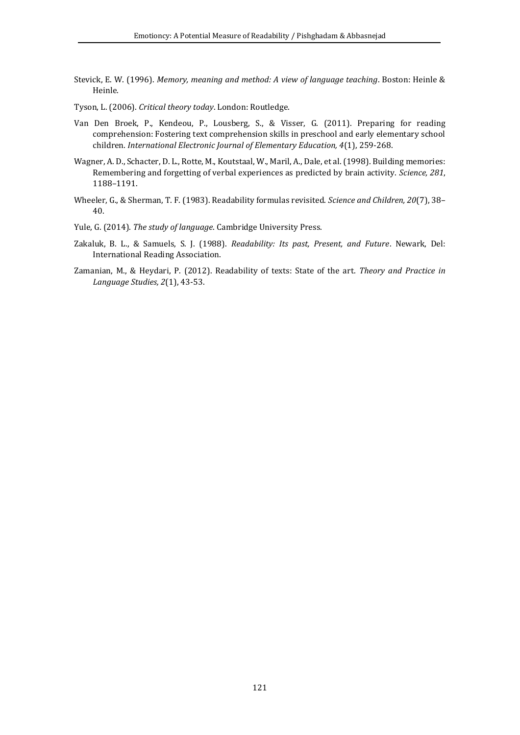- Stevick, E. W. (1996). *Memory, meaning and method: A view of language teaching*. Boston: Heinle & Heinle.
- Tyson, L. (2006). *Critical theory today*. London: Routledge.
- Van Den Broek, P., Kendeou, P., Lousberg, S., & Visser, G. (2011). Preparing for reading comprehension: Fostering text comprehension skills in preschool and early elementary school children. *International Electronic Journal of Elementary Education, 4*(1), 259-268.
- Wagner, A. D., Schacter, D. L., Rotte, M., Koutstaal, W., Maril, A., Dale, et al. (1998). Building memories: Remembering and forgetting of verbal experiences as predicted by brain activity. *Science, 281*, 1188–1191.
- Wheeler, G., & Sherman, T. F. (1983). Readability formulas revisited. *Science and Children, 20*(7), 38– 40.
- Yule, G. (2014). *The study of language*. Cambridge University Press.
- Zakaluk, B. L., & Samuels, S. J. (1988). *Readability: Its past, Present, and Future*. Newark, Del: International Reading Association.
- Zamanian, M., & Heydari, P. (2012). Readability of texts: State of the art. *Theory and Practice in Language Studies, 2*(1), 43-53.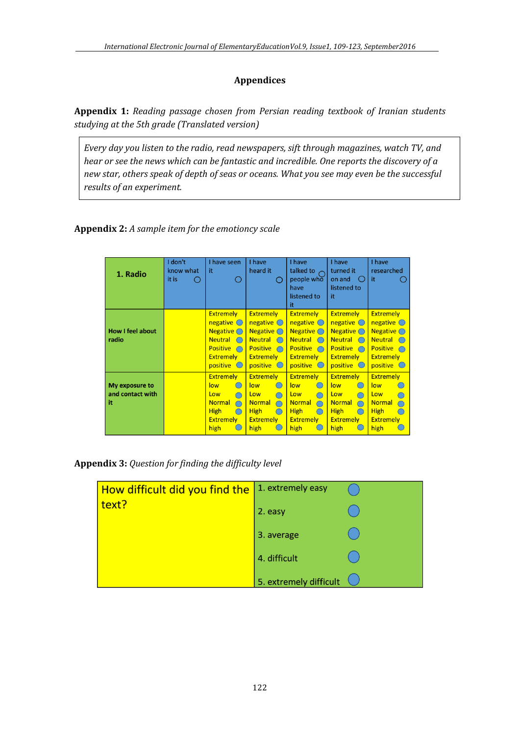## **Appendices**

**Appendix 1:** *Reading passage chosen from Persian reading textbook of Iranian students studying at the 5th grade (Translated version)*

*Every day you listen to the radio, read newspapers, sift through magazines, watch TV, and hear or see the news which can be fantastic and incredible. One reports the discovery of a new star, others speak of depth of seas or oceans. What you see may even be the successful results of an experiment.*

**Appendix 2:** *A sample item for the emotioncy scale*

| 1. Radio                                 | I don't<br>know what<br>it is | I have seen<br>it                                                                                                                                 | I have<br>heard it<br>Ω                                                                                                                                                                                            | I have<br>talked to<br>people who<br>have<br>listened to<br>it                                                                                                      | I have<br>turned it<br>on and<br>$\left( \quad \right)$<br>listened to<br>it                                                                                  | I have<br>researched<br>it                                                                                                           |
|------------------------------------------|-------------------------------|---------------------------------------------------------------------------------------------------------------------------------------------------|--------------------------------------------------------------------------------------------------------------------------------------------------------------------------------------------------------------------|---------------------------------------------------------------------------------------------------------------------------------------------------------------------|---------------------------------------------------------------------------------------------------------------------------------------------------------------|--------------------------------------------------------------------------------------------------------------------------------------|
| <b>How I feel about</b><br>radio         |                               | <b>Extremely</b><br>$negative$<br>Negative $\bigcirc$<br><b>Neutral</b><br>$\bigcap$<br><b>Positive</b><br>$\cap$<br><b>Extremely</b><br>positive | <b>Extremely</b><br>negative $\bigcirc$<br><b>Negative</b> $\bigcirc$<br><b>Neutral</b><br>$\bigcap$<br><b>Positive</b><br>$\cap$<br><b>Extremely</b><br>positive<br>$\left( \begin{array}{c} \end{array} \right)$ | <b>Extremely</b><br>$n$ egative $\bigcirc$<br><b>Negative</b> $\bigcap$<br><b>Neutral</b><br>$\bigcap$<br><b>Positive</b><br>$\cap$<br><b>Extremely</b><br>positive | <b>Extremely</b><br>$n$ egative $\bigcirc$<br>Negative $\bigcirc$<br><b>Neutral</b><br>$\bigcap$<br><b>Positive</b><br>$\cap$<br><b>Extremely</b><br>positive | <b>Extremely</b><br>negative $\bigcirc$<br>Negative $\bigcap$<br><b>Neutral</b><br><b>Positive</b><br><b>Extremely</b><br>positive O |
| My exposure to<br>and contact with<br>it |                               | <b>Extremely</b><br>low<br>$\subset$<br>Low<br><b>Normal</b><br><b>High</b><br>∩<br><b>Extremely</b><br>high                                      | <b>Extremely</b><br>low<br>$\left( \begin{array}{c} \end{array} \right)$<br>Low<br><b>Normal</b><br><b>High</b><br>◯<br><b>Extremely</b><br>high                                                                   | <b>Extremely</b><br>low<br>Low<br><b>Normal</b><br><b>High</b><br>∩<br><b>Extremely</b><br>high                                                                     | <b>Extremely</b><br>low<br>$\overline{\phantom{0}}$<br>Low<br><b>Normal</b><br><b>High</b><br>◯<br><b>Extremely</b><br>high                                   | <b>Extremely</b><br>low<br>Low<br><b>Normal</b><br><b>High</b><br><b>Extremely</b><br>high                                           |

**Appendix 3:** *Question for finding the difficulty level*

| How difficult did you find the | 1. extremely easy      |  |
|--------------------------------|------------------------|--|
| text?                          | 2. easy                |  |
|                                | 3. average             |  |
|                                | 4. difficult           |  |
|                                | 5. extremely difficult |  |